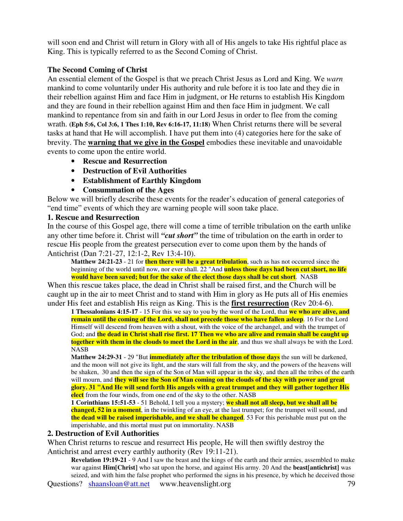will soon end and Christ will return in Glory with all of His angels to take His rightful place as King. This is typically referred to as the Second Coming of Christ.

# **The Second Coming of Christ**

An essential element of the Gospel is that we preach Christ Jesus as Lord and King. We *warn* mankind to come voluntarily under His authority and rule before it is too late and they die in their rebellion against Him and face Him in judgment, or He returns to establish His Kingdom and they are found in their rebellion against Him and then face Him in judgment. We call mankind to repentance from sin and faith in our Lord Jesus in order to flee from the coming wrath. **(Eph 5:6, Col 3:6, 1 Thes 1:10, Rev 6:16-17, 11:18)** When Christ returns there will be several tasks at hand that He will accomplish. I have put them into (4) categories here for the sake of brevity. The **warning that we give in the Gospel** embodies these inevitable and unavoidable events to come upon the entire world.

- **Rescue and Resurrection**
- **Destruction of Evil Authorities**
- **Establishment of Earthly Kingdom**
- **Consummation of the Ages**

Below we will briefly describe these events for the reader's education of general categories of "end time" events of which they are warning people will soon take place.

## **1. Rescue and Resurrection**

In the course of this Gospel age, there will come a time of terrible tribulation on the earth unlike any other time before it. Christ will *"cut short"* the time of tribulation on the earth in order to rescue His people from the greatest persecution ever to come upon them by the hands of Antichrist (Dan 7:21-27, 12:1-2, Rev 13:4-10).

**Matthew 24:21-23** - 21 for **then there will be a great tribulation**, such as has not occurred since the beginning of the world until now, nor ever shall. 22 "And **unless those days had been cut short, no life would have been saved; but for the sake of the elect those days shall be cut short**. NASB

When this rescue takes place, the dead in Christ shall be raised first, and the Church will be caught up in the air to meet Christ and to stand with Him in glory as He puts all of His enemies under His feet and establish His reign as King. This is the **first resurrection** (Rev 20:4-6).

**1 Thessalonians 4:15-17** - 15 For this we say to you by the word of the Lord, that **we who are alive, and remain until the coming of the Lord, shall not precede those who have fallen asleep**. 16 For the Lord Himself will descend from heaven with a shout, with the voice of the archangel, and with the trumpet of God; and the dead in Christ shall rise first. 17 Then we who are alive and remain shall be caught up **together with them in the clouds to meet the Lord in the air**, and thus we shall always be with the Lord. NASB

**Matthew 24:29-31** - 29 "But **immediately after the tribulation of those days** the sun will be darkened, and the moon will not give its light, and the stars will fall from the sky, and the powers of the heavens will be shaken, 30 and then the sign of the Son of Man will appear in the sky, and then all the tribes of the earth will mourn, and **they will see the Son of Man coming on the clouds of the sky with power and great** glory. 31 "And He will send forth His angels with a great trumpet and they will gather together His **elect** from the four winds, from one end of the sky to the other. NASB

**1 Corinthians 15:51-53** - 51 Behold, I tell you a mystery; **we shall not all sleep, but we shall all be changed, 52 in a moment**, in the twinkling of an eye, at the last trumpet; for the trumpet will sound, and **the dead will be raised imperishable, and we shall be changed**. 53 For this perishable must put on the imperishable, and this mortal must put on immortality. NASB

#### **2. Destruction of Evil Authorities**

When Christ returns to rescue and resurrect His people, He will then swiftly destroy the Antichrist and arrest every earthly authority (Rev 19:11-21).

Questions? shaansloan@att.net www.heavenslight.org 79 **Revelation 19:19-21** - 9 And I saw the beast and the kings of the earth and their armies, assembled to make war against **Him[Christ]** who sat upon the horse, and against His army. 20 And the **beast[antichrist]** was seized, and with him the false prophet who performed the signs in his presence, by which he deceived those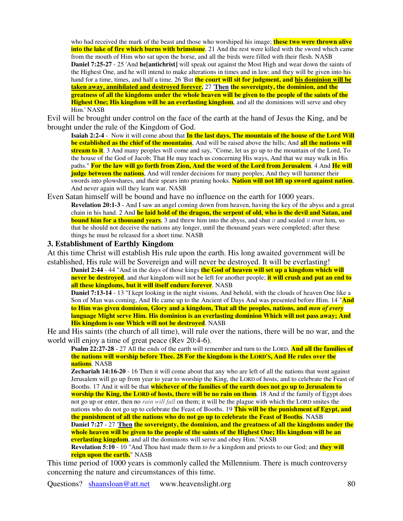who had received the mark of the beast and those who worshiped his image; **these two were thrown alive into the lake of fire which burns with brimstone**. 21 And the rest were killed with the sword which came from the mouth of Him who sat upon the horse, and all the birds were filled with their flesh. NASB **Daniel 7:25-27** - 25 'And **he[antichrist]** will speak out against the Most High and wear down the saints of the Highest One, and he will intend to make alterations in times and in law; and they will be given into his hand for a time, times, and half a time. 26 'But **the court will sit for judgment, and his dominion will be taken away, annihilated and destroyed forever.** 27 '**Then the sovereignty, the dominion, and the** greatness of all the kingdoms under the whole heaven will be given to the people of the saints of the **Highest One; His kingdom will be an everlasting kingdom**, and all the dominions will serve and obey Him.' NASB

Evil will be brought under control on the face of the earth at the hand of Jesus the King, and be brought under the rule of the Kingdom of God.

**Isaiah 2:2-4** - Now it will come about that **In the last days, The mountain of the house of the Lord Will be established as the chief of the mountains**, And will be raised above the hills; And **all the nations will stream to it**. 3 And many peoples will come and say, "Come, let us go up to the mountain of the Lord, To the house of the God of Jacob; That He may teach us concerning His ways, And that we may walk in His paths." For the law will go forth from Zion, And the word of the Lord from Jerusalem. 4 And He will **judge between the nations**, And will render decisions for many peoples; And they will hammer their swords into plowshares, and their spears into pruning hooks. **Nation will not lift up sword against nation**, And never again will they learn war. NASB

Even Satan himself will be bound and have no influence on the earth for 1000 years.

**Revelation 20:1-3** - And I saw an angel coming down from heaven, having the key of the abyss and a great chain in his hand. 2 And **he laid hold of the dragon, the serpent of old, who is the devil and Satan, and bound him for a thousand years**, 3 and threw him into the abyss, and shut *it* and sealed *it* over him, so that he should not deceive the nations any longer, until the thousand years were completed; after these things he must be released for a short time. NASB

#### **3. Establishment of Earthly Kingdom**

At this time Christ will establish His rule upon the earth. His long awaited government will be established, His rule will be Sovereign and will never be destroyed. It will be everlasting!

**Daniel 2:44** - 44 "And in the days of those kings **the God of heaven will set up a kingdom which will never be destroyed**, and *that* kingdom will not be left for another people; **it will crush and put an end to all these kingdoms, but it will itself endure forever**. NASB

**Daniel 7:13-14** - 13 "I kept looking in the night visions, And behold, with the clouds of heaven One like a Son of Man was coming, And He came up to the Ancient of Days And was presented before Him. 14 "**And to Him was given dominion, Glory and a kingdom, That all the peoples, nations, and** *men of every* **language Might serve Him. His dominion is an everlasting dominion Which will not pass away; And His kingdom is one Which will not be destroyed**. NASB

He and His saints (the church of all time), will rule over the nations, there will be no war, and the world will enjoy a time of great peace (Rev 20:4-6).

**Psalm 22:27-28** - 27 All the ends of the earth will remember and turn to the LORD, **And all the families of** the nations will worship before Thee. 28 For the kingdom is the LORD'S, And He rules over the **nations**. NASB

**Zechariah 14:16-20** - 16 Then it will come about that any who are left of all the nations that went against Jerusalem will go up from year to year to worship the King, the LORD of hosts, and to celebrate the Feast of Booths. 17 And it will be that **whichever of the families of the earth does not go up to Jerusalem to worship the King, the LORD of hosts, there will be no rain on them**. 18 And if the family of Egypt does not go up or enter, then no *rain will fall* on them; it will be the plague with which the LORD smites the nations who do not go up to celebrate the Feast of Booths. 19 **This will be the punishment of Egypt, and the punishment of all the nations who do not go up to celebrate the Feast of Booths**. NASB **Daniel 7:27** - 27 '**Then the sovereignty, the dominion, and the greatness of all the kingdoms under the** whole heaven will be given to the people of the saints of the Highest One; His kingdom will be an **everlasting kingdom**, and all the dominions will serve and obey Him.' NASB

**Revelation 5:10** - 10 "And Thou hast made them *to be* a kingdom and priests to our God; and **they will reign upon the earth.**" NASB

This time period of 1000 years is commonly called the Millennium. There is much controversy concerning the nature and circumstances of this time.